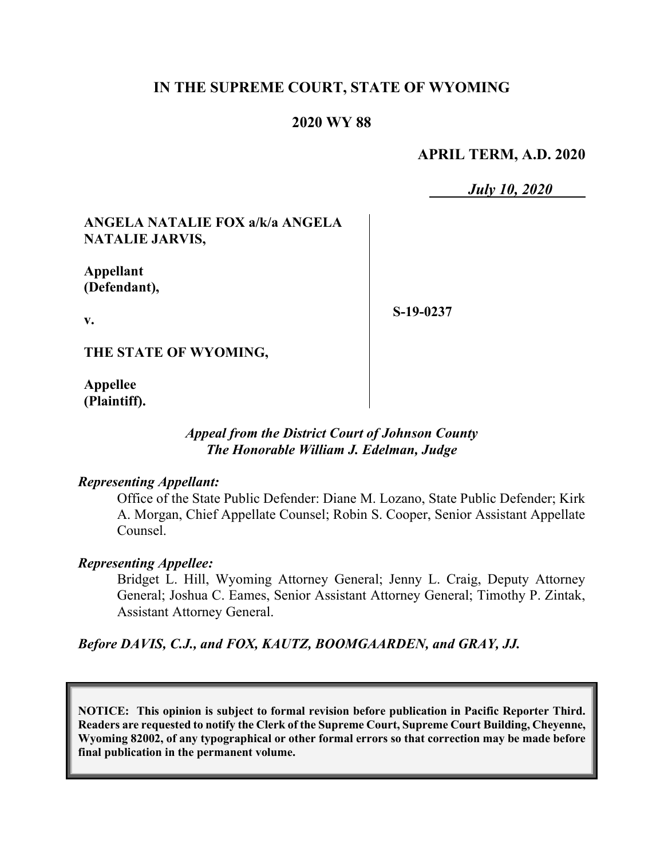# **IN THE SUPREME COURT, STATE OF WYOMING**

## **2020 WY 88**

### **APRIL TERM, A.D. 2020**

*July 10, 2020*

# **ANGELA NATALIE FOX a/k/a ANGELA NATALIE JARVIS,**

**Appellant (Defendant),**

**v.**

**S-19-0237**

**THE STATE OF WYOMING,**

**Appellee (Plaintiff).**

#### *Appeal from the District Court of Johnson County The Honorable William J. Edelman, Judge*

#### *Representing Appellant:*

Office of the State Public Defender: Diane M. Lozano, State Public Defender; Kirk A. Morgan, Chief Appellate Counsel; Robin S. Cooper, Senior Assistant Appellate Counsel.

#### *Representing Appellee:*

Bridget L. Hill, Wyoming Attorney General; Jenny L. Craig, Deputy Attorney General; Joshua C. Eames, Senior Assistant Attorney General; Timothy P. Zintak, Assistant Attorney General.

*Before DAVIS, C.J., and FOX, KAUTZ, BOOMGAARDEN, and GRAY, JJ.*

**NOTICE: This opinion is subject to formal revision before publication in Pacific Reporter Third. Readers are requested to notify the Clerk of the Supreme Court, Supreme Court Building, Cheyenne, Wyoming 82002, of any typographical or other formal errors so that correction may be made before final publication in the permanent volume.**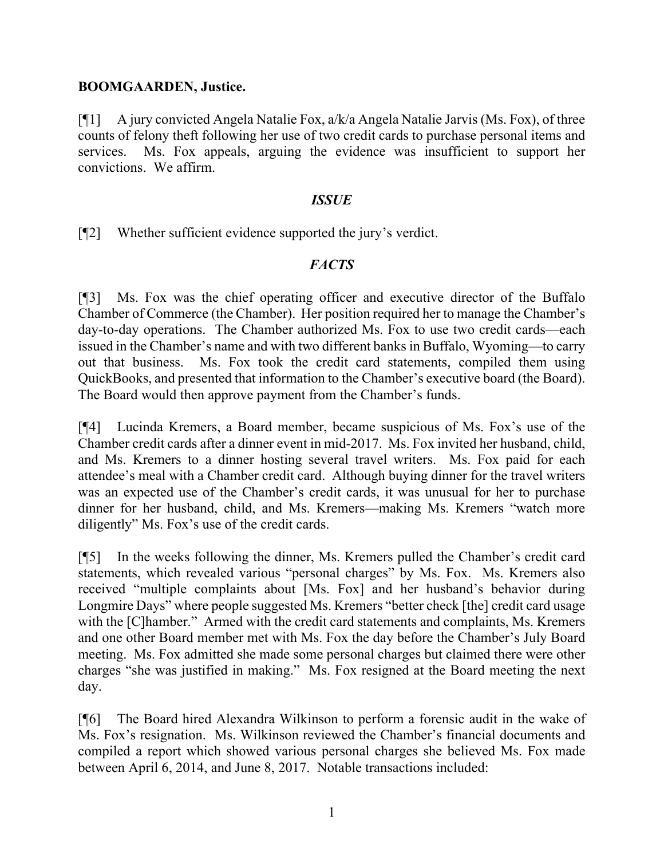## **BOOMGAARDEN, Justice.**

[¶1] A jury convicted Angela Natalie Fox, a/k/a Angela Natalie Jarvis (Ms. Fox), of three counts of felony theft following her use of two credit cards to purchase personal items and services. Ms. Fox appeals, arguing the evidence was insufficient to support her convictions. We affirm.

### *ISSUE*

[¶2] Whether sufficient evidence supported the jury's verdict.

# *FACTS*

[¶3] Ms. Fox was the chief operating officer and executive director of the Buffalo Chamber of Commerce (the Chamber). Her position required her to manage the Chamber's day-to-day operations. The Chamber authorized Ms. Fox to use two credit cards—each issued in the Chamber's name and with two different banksin Buffalo, Wyoming—to carry out that business. Ms. Fox took the credit card statements, compiled them using QuickBooks, and presented that information to the Chamber's executive board (the Board). The Board would then approve payment from the Chamber's funds.

[¶4] Lucinda Kremers, a Board member, became suspicious of Ms. Fox's use of the Chamber credit cards after a dinner event in mid-2017. Ms. Fox invited her husband, child, and Ms. Kremers to a dinner hosting several travel writers. Ms. Fox paid for each attendee's meal with a Chamber credit card. Although buying dinner for the travel writers was an expected use of the Chamber's credit cards, it was unusual for her to purchase dinner for her husband, child, and Ms. Kremers—making Ms. Kremers "watch more diligently" Ms. Fox's use of the credit cards.

[¶5] In the weeks following the dinner, Ms. Kremers pulled the Chamber's credit card statements, which revealed various "personal charges" by Ms. Fox. Ms. Kremers also received "multiple complaints about [Ms. Fox] and her husband's behavior during Longmire Days" where people suggested Ms. Kremers "better check [the] credit card usage with the [C]hamber." Armed with the credit card statements and complaints, Ms. Kremers and one other Board member met with Ms. Fox the day before the Chamber's July Board meeting. Ms. Fox admitted she made some personal charges but claimed there were other charges "she was justified in making." Ms. Fox resigned at the Board meeting the next day.

[¶6] The Board hired Alexandra Wilkinson to perform a forensic audit in the wake of Ms. Fox's resignation. Ms. Wilkinson reviewed the Chamber's financial documents and compiled a report which showed various personal charges she believed Ms. Fox made between April 6, 2014, and June 8, 2017. Notable transactions included: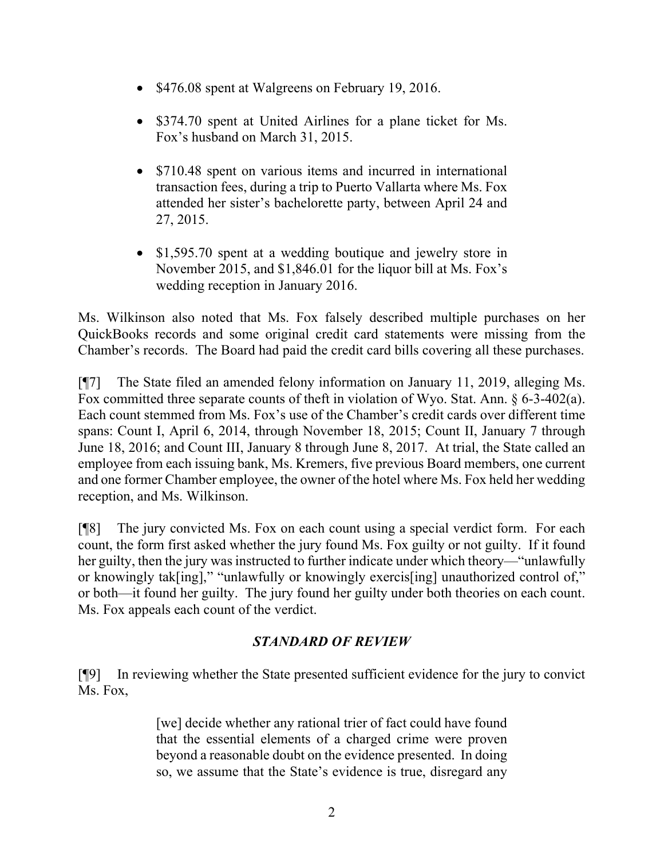- \$476.08 spent at Walgreens on February 19, 2016.
- \$374.70 spent at United Airlines for a plane ticket for Ms. Fox's husband on March 31, 2015.
- \$710.48 spent on various items and incurred in international transaction fees, during a trip to Puerto Vallarta where Ms. Fox attended her sister's bachelorette party, between April 24 and 27, 2015.
- \$1,595.70 spent at a wedding boutique and jewelry store in November 2015, and \$1,846.01 for the liquor bill at Ms. Fox's wedding reception in January 2016.

Ms. Wilkinson also noted that Ms. Fox falsely described multiple purchases on her QuickBooks records and some original credit card statements were missing from the Chamber's records. The Board had paid the credit card bills covering all these purchases.

[¶7] The State filed an amended felony information on January 11, 2019, alleging Ms. Fox committed three separate counts of theft in violation of Wyo. Stat. Ann. § 6-3-402(a). Each count stemmed from Ms. Fox's use of the Chamber's credit cards over different time spans: Count I, April 6, 2014, through November 18, 2015; Count II, January 7 through June 18, 2016; and Count III, January 8 through June 8, 2017. At trial, the State called an employee from each issuing bank, Ms. Kremers, five previous Board members, one current and one former Chamber employee, the owner of the hotel where Ms. Fox held her wedding reception, and Ms. Wilkinson.

[¶8] The jury convicted Ms. Fox on each count using a special verdict form. For each count, the form first asked whether the jury found Ms. Fox guilty or not guilty. If it found her guilty, then the jury was instructed to further indicate under which theory—"unlawfully or knowingly tak[ing]," "unlawfully or knowingly exercis[ing] unauthorized control of," or both—it found her guilty. The jury found her guilty under both theories on each count. Ms. Fox appeals each count of the verdict.

# *STANDARD OF REVIEW*

[¶9] In reviewing whether the State presented sufficient evidence for the jury to convict Ms. Fox,

> [we] decide whether any rational trier of fact could have found that the essential elements of a charged crime were proven beyond a reasonable doubt on the evidence presented. In doing so, we assume that the State's evidence is true, disregard any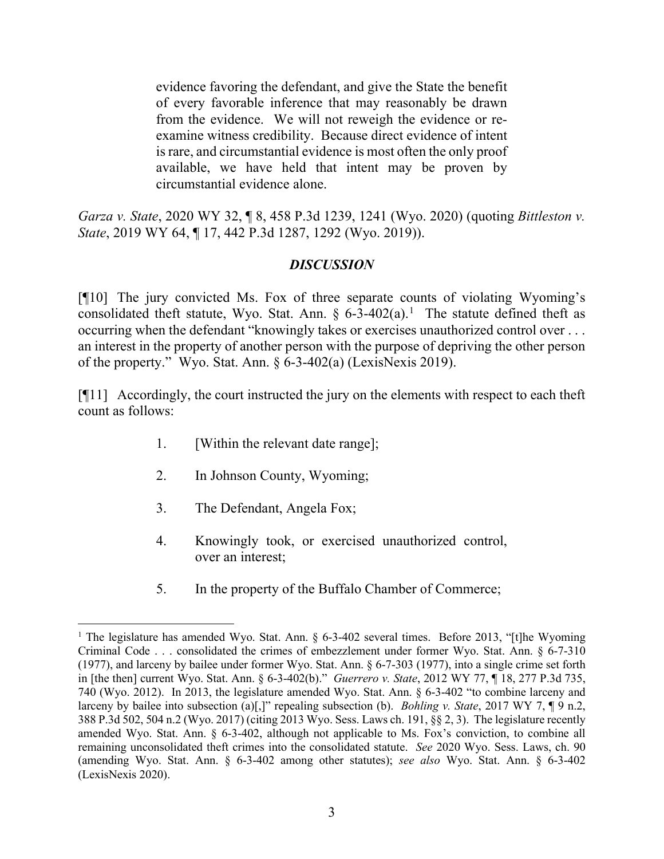evidence favoring the defendant, and give the State the benefit of every favorable inference that may reasonably be drawn from the evidence. We will not reweigh the evidence or reexamine witness credibility. Because direct evidence of intent is rare, and circumstantial evidence is most often the only proof available, we have held that intent may be proven by circumstantial evidence alone.

*Garza v. State*, 2020 WY 32, ¶ 8, 458 P.3d 1239, 1241 (Wyo. 2020) (quoting *Bittleston v. State*, 2019 WY 64, ¶ 17, 442 P.3d 1287, 1292 (Wyo. 2019)).

# *DISCUSSION*

[¶10] The jury convicted Ms. Fox of three separate counts of violating Wyoming's consolidated theft statute, Wyo. Stat. Ann.  $\S 6-3-402(a)$ .<sup>[1](#page-3-0)</sup> The statute defined theft as occurring when the defendant "knowingly takes or exercises unauthorized control over . . . an interest in the property of another person with the purpose of depriving the other person of the property." Wyo. Stat. Ann. § 6-3-402(a) (LexisNexis 2019).

[¶11] Accordingly, the court instructed the jury on the elements with respect to each theft count as follows:

- 1. [Within the relevant date range];
- 2. In Johnson County, Wyoming;
- 3. The Defendant, Angela Fox;
- 4. Knowingly took, or exercised unauthorized control, over an interest;
- 5. In the property of the Buffalo Chamber of Commerce;

<span id="page-3-0"></span><sup>&</sup>lt;sup>1</sup> The legislature has amended Wyo. Stat. Ann. § 6-3-402 several times. Before 2013, "[t]he Wyoming Criminal Code . . . consolidated the crimes of embezzlement under former Wyo. Stat. Ann. § 6-7-310 (1977), and larceny by bailee under former Wyo. Stat. Ann. § 6-7-303 (1977), into a single crime set forth in [the then] current Wyo. Stat. Ann. § 6-3-402(b)." *Guerrero v. State*, 2012 WY 77, ¶ 18, 277 P.3d 735, 740 (Wyo. 2012). In 2013, the legislature amended Wyo. Stat. Ann. § 6-3-402 "to combine larceny and larceny by bailee into subsection (a)[,]" repealing subsection (b). *Bohling v. State*, 2017 WY 7, ¶ 9 n.2, 388 P.3d 502, 504 n.2 (Wyo. 2017) (citing 2013 Wyo. Sess. Laws ch. 191, §§ 2, 3). The legislature recently amended Wyo. Stat. Ann. § 6-3-402, although not applicable to Ms. Fox's conviction, to combine all remaining unconsolidated theft crimes into the consolidated statute. *See* 2020 Wyo. Sess. Laws, ch. 90 (amending Wyo. Stat. Ann. § 6-3-402 among other statutes); *see also* Wyo. Stat. Ann. § 6-3-402 (LexisNexis 2020).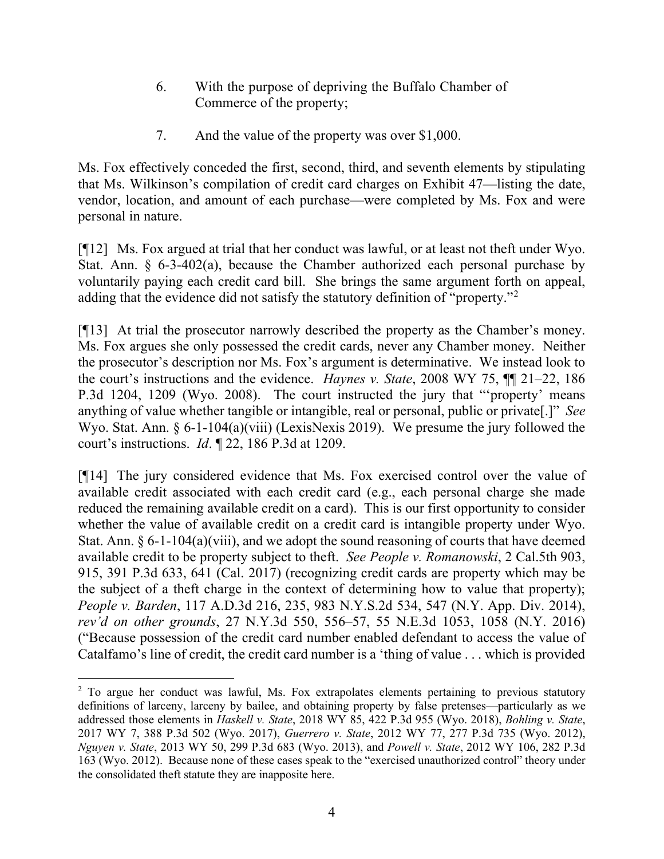- 6. With the purpose of depriving the Buffalo Chamber of Commerce of the property;
- 7. And the value of the property was over \$1,000.

Ms. Fox effectively conceded the first, second, third, and seventh elements by stipulating that Ms. Wilkinson's compilation of credit card charges on Exhibit 47—listing the date, vendor, location, and amount of each purchase—were completed by Ms. Fox and were personal in nature.

[¶12] Ms. Fox argued at trial that her conduct was lawful, or at least not theft under Wyo. Stat. Ann.  $\delta$  6-3-402(a), because the Chamber authorized each personal purchase by voluntarily paying each credit card bill. She brings the same argument forth on appeal, adding that the evidence did not satisfy the statutory definition of "property."[2](#page-4-0)

[¶13] At trial the prosecutor narrowly described the property as the Chamber's money. Ms. Fox argues she only possessed the credit cards, never any Chamber money. Neither the prosecutor's description nor Ms. Fox's argument is determinative. We instead look to the court's instructions and the evidence. *Haynes v. State*, 2008 WY 75, ¶¶ 21–22, 186 P.3d 1204, 1209 (Wyo. 2008). The court instructed the jury that "'property' means anything of value whether tangible or intangible, real or personal, public or private[.]" *See*  Wyo. Stat. Ann. § 6-1-104(a)(viii) (LexisNexis 2019). We presume the jury followed the court's instructions. *Id*. ¶ 22, 186 P.3d at 1209.

[¶14] The jury considered evidence that Ms. Fox exercised control over the value of available credit associated with each credit card (e.g., each personal charge she made reduced the remaining available credit on a card). This is our first opportunity to consider whether the value of available credit on a credit card is intangible property under Wyo. Stat. Ann. § 6-1-104(a)(viii), and we adopt the sound reasoning of courts that have deemed available credit to be property subject to theft. *See People v. Romanowski*, 2 Cal.5th 903, 915, 391 P.3d 633, 641 (Cal. 2017) (recognizing credit cards are property which may be the subject of a theft charge in the context of determining how to value that property); *People v. Barden*, 117 A.D.3d 216, 235, 983 N.Y.S.2d 534, 547 (N.Y. App. Div. 2014), *rev'd on other grounds*, 27 N.Y.3d 550, 556–57, 55 N.E.3d 1053, 1058 (N.Y. 2016) ("Because possession of the credit card number enabled defendant to access the value of Catalfamo's line of credit, the credit card number is a 'thing of value . . . which is provided

<span id="page-4-0"></span><sup>&</sup>lt;sup>2</sup> To argue her conduct was lawful, Ms. Fox extrapolates elements pertaining to previous statutory definitions of larceny, larceny by bailee, and obtaining property by false pretenses—particularly as we addressed those elements in *Haskell v. State*, 2018 WY 85, 422 P.3d 955 (Wyo. 2018), *Bohling v. State*, 2017 WY 7, 388 P.3d 502 (Wyo. 2017), *Guerrero v. State*, 2012 WY 77, 277 P.3d 735 (Wyo. 2012), *Nguyen v. State*, 2013 WY 50, 299 P.3d 683 (Wyo. 2013), and *Powell v. State*, 2012 WY 106, 282 P.3d 163 (Wyo. 2012). Because none of these cases speak to the "exercised unauthorized control" theory under the consolidated theft statute they are inapposite here.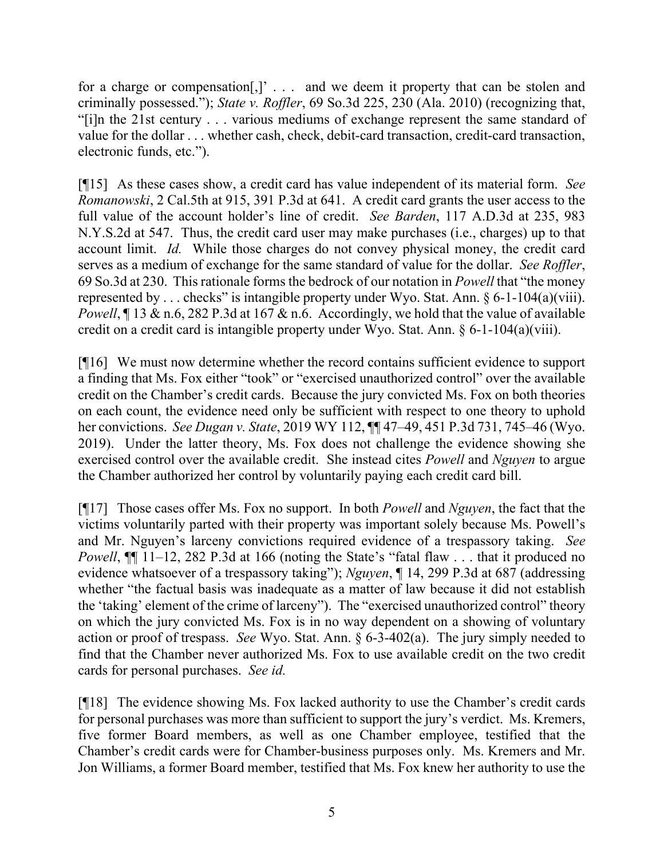for a charge or compensation[,]' . . . and we deem it property that can be stolen and criminally possessed."); *State v. Roffler*, 69 So.3d 225, 230 (Ala. 2010) (recognizing that, "[i]n the 21st century . . . various mediums of exchange represent the same standard of value for the dollar . . . whether cash, check, debit-card transaction, credit-card transaction, electronic funds, etc.").

[¶15] As these cases show, a credit card has value independent of its material form. *See Romanowski*, 2 Cal.5th at 915, 391 P.3d at 641. A credit card grants the user access to the full value of the account holder's line of credit. *See Barden*, 117 A.D.3d at 235, 983 N.Y.S.2d at 547. Thus, the credit card user may make purchases (i.e., charges) up to that account limit. *Id.* While those charges do not convey physical money, the credit card serves as a medium of exchange for the same standard of value for the dollar. *See Roffler*, 69 So.3d at 230. This rationale forms the bedrock of our notation in *Powell* that "the money represented by ... checks" is intangible property under Wyo. Stat. Ann.  $\S 6$ -1-104(a)(viii). *Powell*, 13 & n.6, 282 P.3d at 167 & n.6. Accordingly, we hold that the value of available credit on a credit card is intangible property under Wyo. Stat. Ann. § 6-1-104(a)(viii).

[¶16] We must now determine whether the record contains sufficient evidence to support a finding that Ms. Fox either "took" or "exercised unauthorized control" over the available credit on the Chamber's credit cards. Because the jury convicted Ms. Fox on both theories on each count, the evidence need only be sufficient with respect to one theory to uphold her convictions. *See Dugan v. State*, 2019 WY 112, ¶¶ 47–49, 451 P.3d 731, 745–46 (Wyo. 2019). Under the latter theory, Ms. Fox does not challenge the evidence showing she exercised control over the available credit. She instead cites *Powell* and *Nguyen* to argue the Chamber authorized her control by voluntarily paying each credit card bill.

[¶17] Those cases offer Ms. Fox no support. In both *Powell* and *Nguyen*, the fact that the victims voluntarily parted with their property was important solely because Ms. Powell's and Mr. Nguyen's larceny convictions required evidence of a trespassory taking. *See Powell*,  $\P$ [ 11–12, 282 P.3d at 166 (noting the State's "fatal flaw . . . that it produced no evidence whatsoever of a trespassory taking"); *Nguyen*, ¶ 14, 299 P.3d at 687 (addressing whether "the factual basis was inadequate as a matter of law because it did not establish the 'taking' element of the crime of larceny"). The "exercised unauthorized control" theory on which the jury convicted Ms. Fox is in no way dependent on a showing of voluntary action or proof of trespass. *See* Wyo. Stat. Ann. § 6-3-402(a). The jury simply needed to find that the Chamber never authorized Ms. Fox to use available credit on the two credit cards for personal purchases. *See id.*

[¶18] The evidence showing Ms. Fox lacked authority to use the Chamber's credit cards for personal purchases was more than sufficient to support the jury's verdict. Ms. Kremers, five former Board members, as well as one Chamber employee, testified that the Chamber's credit cards were for Chamber-business purposes only. Ms. Kremers and Mr. Jon Williams, a former Board member, testified that Ms. Fox knew her authority to use the